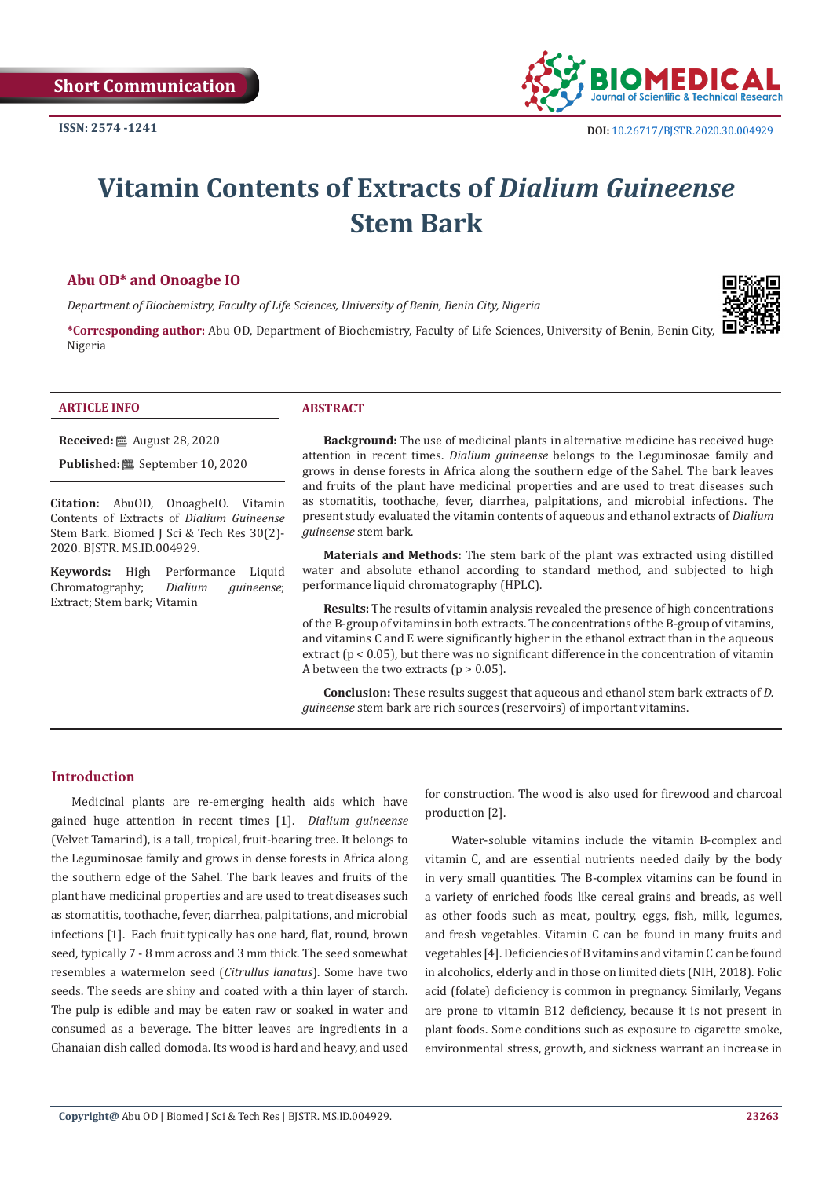

# **Vitamin Contents of Extracts of** *Dialium Guineense* **Stem Bark**

# **Abu OD\* and Onoagbe IO**

*Department of Biochemistry, Faculty of Life Sciences, University of Benin, Benin City, Nigeria*

**\*Corresponding author:** Abu OD, Department of Biochemistry, Faculty of Life Sciences, University of Benin, Benin City, Nigeria



#### **ARTICLE INFO ABSTRACT**

**Received:** August 28, 2020

**Published:** September 10, 2020

**Citation:** AbuOD, OnoagbeIO. Vitamin Contents of Extracts of *Dialium Guineense*  Stem Bark. Biomed J Sci & Tech Res 30(2)- 2020. BJSTR. MS.ID.004929.

**Keywords:** High Performance Liquid<br>Chromatography; Dialium guineense; Chromatography; Extract; Stem bark; Vitamin

**Background:** The use of medicinal plants in alternative medicine has received huge attention in recent times. *Dialium guineense* belongs to the Leguminosae family and grows in dense forests in Africa along the southern edge of the Sahel. The bark leaves and fruits of the plant have medicinal properties and are used to treat diseases such as stomatitis, toothache, fever, diarrhea, palpitations, and microbial infections. The present study evaluated the vitamin contents of aqueous and ethanol extracts of *Dialium guineense* stem bark.

**Materials and Methods:** The stem bark of the plant was extracted using distilled water and absolute ethanol according to standard method, and subjected to high performance liquid chromatography (HPLC).

**Results:** The results of vitamin analysis revealed the presence of high concentrations of the B-group of vitamins in both extracts. The concentrations of the B-group of vitamins, and vitamins C and E were significantly higher in the ethanol extract than in the aqueous extract ( $p < 0.05$ ), but there was no significant difference in the concentration of vitamin A between the two extracts ( $p > 0.05$ ).

**Conclusion:** These results suggest that aqueous and ethanol stem bark extracts of *D. guineense* stem bark are rich sources (reservoirs) of important vitamins.

#### **Introduction**

Medicinal plants are re-emerging health aids which have gained huge attention in recent times [1]. *Dialium guineense* (Velvet Tamarind), is a tall, tropical, fruit-bearing tree. It belongs to the Leguminosae family and grows in dense forests in Africa along the southern edge of the Sahel. The bark leaves and fruits of the plant have medicinal properties and are used to treat diseases such as stomatitis, toothache, fever, diarrhea, palpitations, and microbial infections [1]. Each fruit typically has one hard, flat, round, brown seed, typically 7 - 8 mm across and 3 mm thick. The seed somewhat resembles a watermelon seed (*Citrullus lanatus*). Some have two seeds. The seeds are shiny and coated with a thin layer of starch. The pulp is edible and may be eaten raw or soaked in water and consumed as a beverage. The bitter leaves are ingredients in a Ghanaian dish called domoda. Its wood is hard and heavy, and used

for construction. The wood is also used for firewood and charcoal production [2].

 Water-soluble vitamins include the vitamin B-complex and vitamin C, and are essential nutrients needed daily by the body in very small quantities. The B-complex vitamins can be found in a variety of enriched foods like cereal grains and breads, as well as other foods such as meat, poultry, eggs, fish, milk, legumes, and fresh vegetables. Vitamin C can be found in many fruits and vegetables [4]. Deficiencies of B vitamins and vitamin C can be found in alcoholics, elderly and in those on limited diets (NIH, 2018). Folic acid (folate) deficiency is common in pregnancy. Similarly, Vegans are prone to vitamin B12 deficiency, because it is not present in plant foods. Some conditions such as exposure to cigarette smoke, environmental stress, growth, and sickness warrant an increase in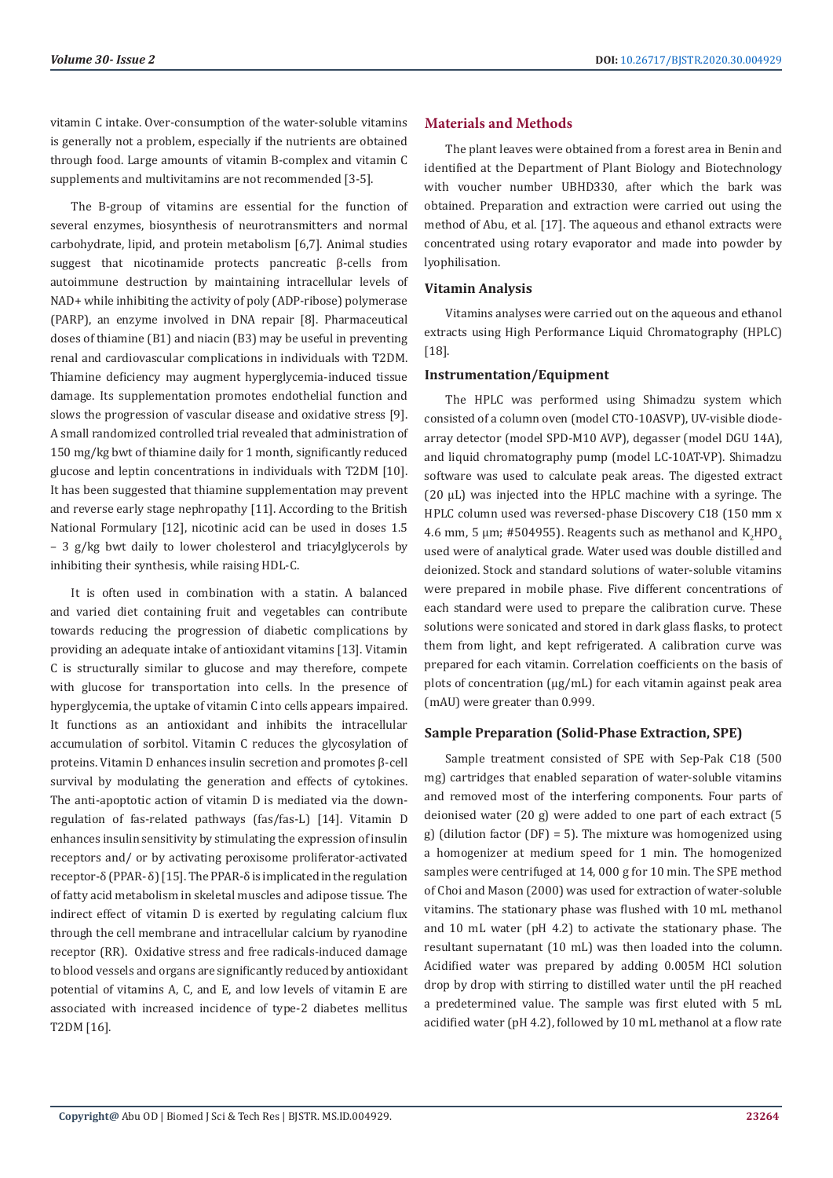vitamin C intake. Over-consumption of the water-soluble vitamins is generally not a problem, especially if the nutrients are obtained through food. Large amounts of vitamin B-complex and vitamin C supplements and multivitamins are not recommended [3-5].

The B-group of vitamins are essential for the function of several enzymes, biosynthesis of neurotransmitters and normal carbohydrate, lipid, and protein metabolism [6,7]. Animal studies suggest that nicotinamide protects pancreatic β-cells from autoimmune destruction by maintaining intracellular levels of NAD+ while inhibiting the activity of poly (ADP-ribose) polymerase (PARP), an enzyme involved in DNA repair [8]. Pharmaceutical doses of thiamine (B1) and niacin (B3) may be useful in preventing renal and cardiovascular complications in individuals with T2DM. Thiamine deficiency may augment hyperglycemia-induced tissue damage. Its supplementation promotes endothelial function and slows the progression of vascular disease and oxidative stress [9]. A small randomized controlled trial revealed that administration of 150 mg/kg bwt of thiamine daily for 1 month, significantly reduced glucose and leptin concentrations in individuals with T2DM [10]. It has been suggested that thiamine supplementation may prevent and reverse early stage nephropathy [11]. According to the British National Formulary [12], nicotinic acid can be used in doses 1.5 – 3 g/kg bwt daily to lower cholesterol and triacylglycerols by inhibiting their synthesis, while raising HDL-C.

It is often used in combination with a statin. A balanced and varied diet containing fruit and vegetables can contribute towards reducing the progression of diabetic complications by providing an adequate intake of antioxidant vitamins [13]. Vitamin C is structurally similar to glucose and may therefore, compete with glucose for transportation into cells. In the presence of hyperglycemia, the uptake of vitamin C into cells appears impaired. It functions as an antioxidant and inhibits the intracellular accumulation of sorbitol. Vitamin C reduces the glycosylation of proteins. Vitamin D enhances insulin secretion and promotes β-cell survival by modulating the generation and effects of cytokines. The anti-apoptotic action of vitamin D is mediated via the downregulation of fas-related pathways (fas/fas-L) [14]. Vitamin D enhances insulin sensitivity by stimulating the expression of insulin receptors and/ or by activating peroxisome proliferator-activated receptor-δ (PPAR- δ) [15]. The PPAR-δ is implicated in the regulation of fatty acid metabolism in skeletal muscles and adipose tissue. The indirect effect of vitamin D is exerted by regulating calcium flux through the cell membrane and intracellular calcium by ryanodine receptor (RR). Oxidative stress and free radicals-induced damage to blood vessels and organs are significantly reduced by antioxidant potential of vitamins A, C, and E, and low levels of vitamin E are associated with increased incidence of type-2 diabetes mellitus T2DM [16].

# **Materials and Methods**

The plant leaves were obtained from a forest area in Benin and identified at the Department of Plant Biology and Biotechnology with voucher number UBHD330, after which the bark was obtained. Preparation and extraction were carried out using the method of Abu, et al. [17]. The aqueous and ethanol extracts were concentrated using rotary evaporator and made into powder by lyophilisation.

#### **Vitamin Analysis**

Vitamins analyses were carried out on the aqueous and ethanol extracts using High Performance Liquid Chromatography (HPLC) [18].

#### **Instrumentation/Equipment**

The HPLC was performed using Shimadzu system which consisted of a column oven (model CTO-10ASVP), UV-visible diodearray detector (model SPD-M10 AVP), degasser (model DGU 14A), and liquid chromatography pump (model LC-10AT-VP). Shimadzu software was used to calculate peak areas. The digested extract  $(20 \mu L)$  was injected into the HPLC machine with a syringe. The HPLC column used was reversed-phase Discovery C18 (150 mm x 4.6 mm, 5  $\mu$ m; #504955). Reagents such as methanol and  $\mathrm{K_2 HPO_4}$ used were of analytical grade. Water used was double distilled and deionized. Stock and standard solutions of water-soluble vitamins were prepared in mobile phase. Five different concentrations of each standard were used to prepare the calibration curve. These solutions were sonicated and stored in dark glass flasks, to protect them from light, and kept refrigerated. A calibration curve was prepared for each vitamin. Correlation coefficients on the basis of plots of concentration (µg/mL) for each vitamin against peak area (mAU) were greater than 0.999.

#### **Sample Preparation (Solid-Phase Extraction, SPE)**

Sample treatment consisted of SPE with Sep-Pak C18 (500 mg) cartridges that enabled separation of water-soluble vitamins and removed most of the interfering components. Four parts of deionised water (20 g) were added to one part of each extract (5 g) (dilution factor (DF) = 5). The mixture was homogenized using a homogenizer at medium speed for 1 min. The homogenized samples were centrifuged at 14, 000 g for 10 min. The SPE method of Choi and Mason (2000) was used for extraction of water-soluble vitamins. The stationary phase was flushed with 10 mL methanol and 10 mL water (pH 4.2) to activate the stationary phase. The resultant supernatant (10 mL) was then loaded into the column. Acidified water was prepared by adding 0.005M HCl solution drop by drop with stirring to distilled water until the pH reached a predetermined value. The sample was first eluted with 5 mL acidified water (pH 4.2), followed by 10 mL methanol at a flow rate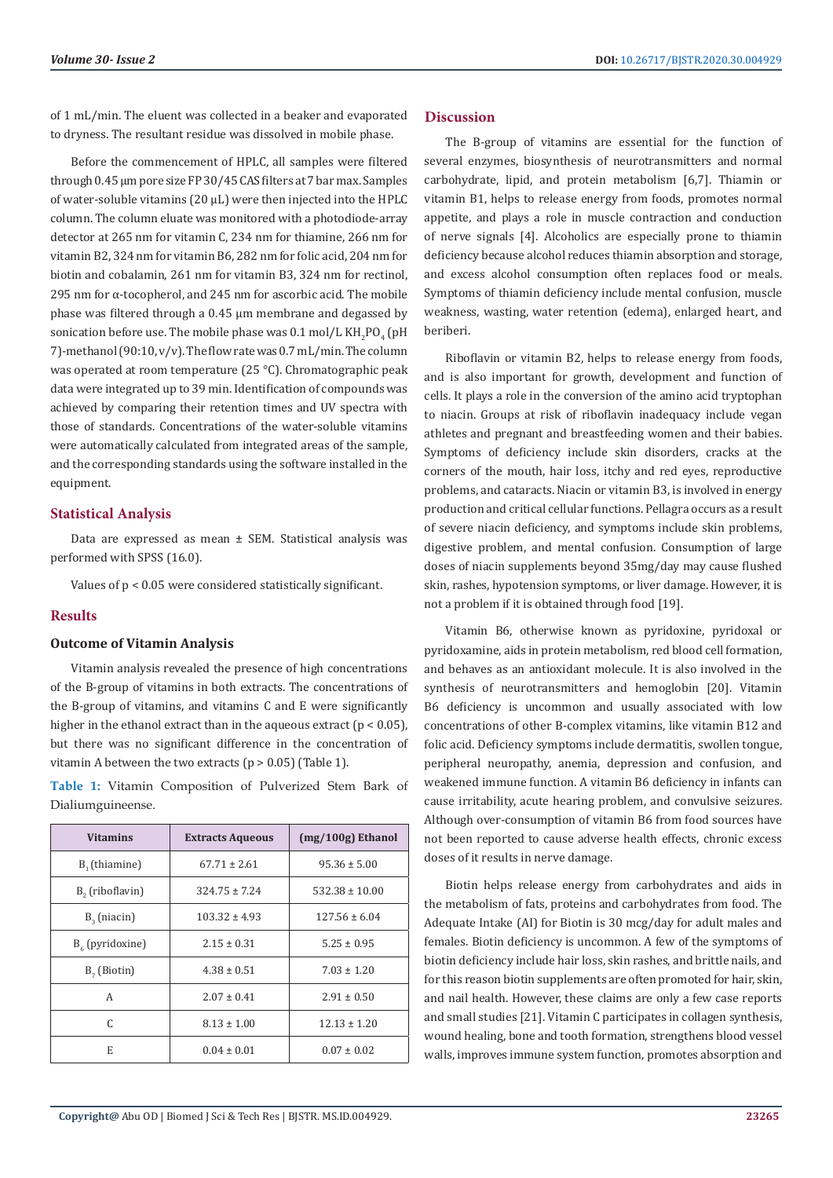of 1 mL/min. The eluent was collected in a beaker and evaporated to dryness. The resultant residue was dissolved in mobile phase.

Before the commencement of HPLC, all samples were filtered through 0.45 µm pore size FP 30/45 CAS filters at 7 bar max. Samples of water-soluble vitamins (20 µL) were then injected into the HPLC column. The column eluate was monitored with a photodiode-array detector at 265 nm for vitamin C, 234 nm for thiamine, 266 nm for vitamin B2, 324 nm for vitamin B6, 282 nm for folic acid, 204 nm for biotin and cobalamin, 261 nm for vitamin B3, 324 nm for rectinol, 295 nm for α-tocopherol, and 245 nm for ascorbic acid. The mobile phase was filtered through a 0.45 µm membrane and degassed by sonication before use. The mobile phase was  $0.1$  mol/L KH $_2$ PO $_4$  (pH 7)-methanol (90:10, v/v). The flow rate was 0.7 mL/min. The column was operated at room temperature (25 °C). Chromatographic peak data were integrated up to 39 min. Identification of compounds was achieved by comparing their retention times and UV spectra with those of standards. Concentrations of the water-soluble vitamins were automatically calculated from integrated areas of the sample, and the corresponding standards using the software installed in the equipment.

# **Statistical Analysis**

Data are expressed as mean ± SEM. Statistical analysis was performed with SPSS (16.0).

Values of p < 0.05 were considered statistically significant.

# **Results**

# **Outcome of Vitamin Analysis**

Vitamin analysis revealed the presence of high concentrations of the B-group of vitamins in both extracts. The concentrations of the B-group of vitamins, and vitamins C and E were significantly higher in the ethanol extract than in the aqueous extract ( $p < 0.05$ ), but there was no significant difference in the concentration of vitamin A between the two extracts ( $p > 0.05$ ) (Table 1).

**Table 1:** Vitamin Composition of Pulverized Stem Bark of Dialiumguineense.

| <b>Vitamins</b>             | <b>Extracts Aqueous</b> | $(mg/100g)$ Ethanol |
|-----------------------------|-------------------------|---------------------|
| B <sub>1</sub> (thiamine)   | $67.71 \pm 2.61$        | $95.36 \pm 5.00$    |
| B <sub>2</sub> (riboflavin) | $324.75 \pm 7.24$       | $532.38 \pm 10.00$  |
| $B2$ (niacin)               | $103.32 \pm 4.93$       | $127.56 \pm 6.04$   |
| $B_{6}$ (pyridoxine)        | $2.15 \pm 0.31$         | $5.25 \pm 0.95$     |
| $B7$ (Biotin)               | $4.38 \pm 0.51$         | $7.03 \pm 1.20$     |
| A                           | $2.07 \pm 0.41$         | $2.91 \pm 0.50$     |
| C                           | $8.13 \pm 1.00$         | $12.13 \pm 1.20$    |
| E                           | $0.04 \pm 0.01$         | $0.07 \pm 0.02$     |

# **Discussion**

The B-group of vitamins are essential for the function of several enzymes, biosynthesis of neurotransmitters and normal carbohydrate, lipid, and protein metabolism [6,7]. Thiamin or vitamin B1, helps to release energy from foods, promotes normal appetite, and plays a role in muscle contraction and conduction of nerve signals [4]. Alcoholics are especially prone to thiamin deficiency because alcohol reduces thiamin absorption and storage, and excess alcohol consumption often replaces food or meals. Symptoms of thiamin deficiency include mental confusion, muscle weakness, wasting, water retention (edema), enlarged heart, and beriberi.

Riboflavin or vitamin B2, helps to release energy from foods, and is also important for growth, development and function of cells. It plays a role in the conversion of the amino acid tryptophan to niacin. Groups at risk of riboflavin inadequacy include vegan athletes and pregnant and breastfeeding women and their babies. Symptoms of deficiency include skin disorders, cracks at the corners of the mouth, hair loss, itchy and red eyes, reproductive problems, and cataracts. Niacin or vitamin B3, is involved in energy production and critical cellular functions. Pellagra occurs as a result of severe niacin deficiency, and symptoms include skin problems, digestive problem, and mental confusion. Consumption of large doses of niacin supplements beyond 35mg/day may cause flushed skin, rashes, hypotension symptoms, or liver damage. However, it is not a problem if it is obtained through food [19].

Vitamin B6, otherwise known as pyridoxine, pyridoxal or pyridoxamine, aids in protein metabolism, red blood cell formation, and behaves as an antioxidant molecule. It is also involved in the synthesis of neurotransmitters and hemoglobin [20]. Vitamin B6 deficiency is uncommon and usually associated with low concentrations of other B-complex vitamins, like vitamin B12 and folic acid. Deficiency symptoms include dermatitis, swollen tongue, peripheral neuropathy, anemia, depression and confusion, and weakened immune function. A vitamin B6 deficiency in infants can cause irritability, acute hearing problem, and convulsive seizures. Although over-consumption of vitamin B6 from food sources have not been reported to cause adverse health effects, chronic excess doses of it results in nerve damage.

Biotin helps release energy from carbohydrates and aids in the metabolism of fats, proteins and carbohydrates from food. The Adequate Intake (AI) for Biotin is 30 mcg/day for adult males and females. Biotin deficiency is uncommon. A few of the symptoms of biotin deficiency include hair loss, skin rashes, and brittle nails, and for this reason biotin supplements are often promoted for hair, skin, and nail health. However, these claims are only a few case reports and small studies [21]. Vitamin C participates in collagen synthesis, wound healing, bone and tooth formation, strengthens blood vessel walls, improves immune system function, promotes absorption and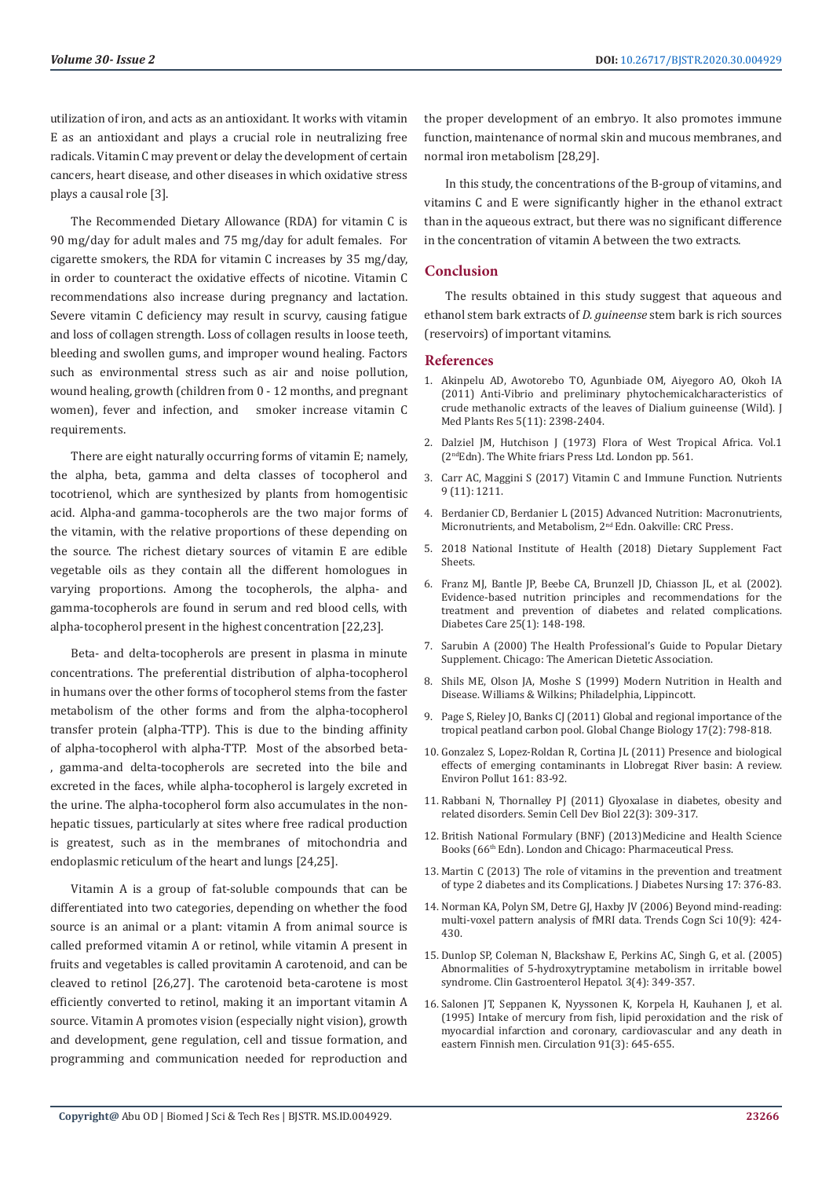utilization of iron, and acts as an antioxidant. It works with vitamin E as an antioxidant and plays a crucial role in neutralizing free radicals. Vitamin C may prevent or delay the development of certain cancers, heart disease, and other diseases in which oxidative stress plays a causal role [3].

The Recommended Dietary Allowance (RDA) for vitamin C is 90 mg/day for adult males and 75 mg/day for adult females. For cigarette smokers, the RDA for vitamin C increases by 35 mg/day, in order to counteract the oxidative effects of nicotine. Vitamin C recommendations also increase during pregnancy and lactation. Severe vitamin C deficiency may result in scurvy, causing fatigue and loss of collagen strength. Loss of collagen results in loose teeth, bleeding and swollen gums, and improper wound healing. Factors such as environmental stress such as air and noise pollution, wound healing, growth (children from 0 - 12 months, and pregnant women), fever and infection, and smoker increase vitamin C requirements.

There are eight naturally occurring forms of vitamin E; namely, the alpha, beta, gamma and delta classes of tocopherol and tocotrienol, which are synthesized by plants from homogentisic acid. Alpha-and gamma-tocopherols are the two major forms of the vitamin, with the relative proportions of these depending on the source. The richest dietary sources of vitamin E are edible vegetable oils as they contain all the different homologues in varying proportions. Among the tocopherols, the alpha- and gamma-tocopherols are found in serum and red blood cells, with alpha-tocopherol present in the highest concentration [22,23].

Beta- and delta-tocopherols are present in plasma in minute concentrations. The preferential distribution of alpha-tocopherol in humans over the other forms of tocopherol stems from the faster metabolism of the other forms and from the alpha-tocopherol transfer protein (alpha-TTP). This is due to the binding affinity of alpha-tocopherol with alpha-TTP. Most of the absorbed beta- , gamma-and delta-tocopherols are secreted into the bile and excreted in the faces, while alpha-tocopherol is largely excreted in the urine. The alpha-tocopherol form also accumulates in the nonhepatic tissues, particularly at sites where free radical production is greatest, such as in the membranes of mitochondria and endoplasmic reticulum of the heart and lungs [24,25].

Vitamin A is a group of fat-soluble compounds that can be differentiated into two categories, depending on whether the food source is an animal or a plant: vitamin A from animal source is called preformed vitamin A or retinol, while vitamin A present in fruits and vegetables is called provitamin A carotenoid, and can be cleaved to retinol [26,27]. The carotenoid beta-carotene is most efficiently converted to retinol, making it an important vitamin A source. Vitamin A promotes vision (especially night vision), growth and development, gene regulation, cell and tissue formation, and programming and communication needed for reproduction and

the proper development of an embryo. It also promotes immune function, maintenance of normal skin and mucous membranes, and normal iron metabolism [28,29].

In this study, the concentrations of the B-group of vitamins, and vitamins C and E were significantly higher in the ethanol extract than in the aqueous extract, but there was no significant difference in the concentration of vitamin A between the two extracts.

#### **Conclusion**

The results obtained in this study suggest that aqueous and ethanol stem bark extracts of *D. guineense* stem bark is rich sources (reservoirs) of important vitamins.

#### **References**

- 1. [Akinpelu AD, Awotorebo TO, Agunbiade OM, Aiyegoro AO, Okoh IA](https://academicjournals.org/journal/JMPR/article-abstract/DDF968322673) [\(2011\) Anti-Vibrio and preliminary phytochemicalcharacteristics of](https://academicjournals.org/journal/JMPR/article-abstract/DDF968322673) [crude methanolic extracts of the leaves of Dialium guineense \(Wild\). J](https://academicjournals.org/journal/JMPR/article-abstract/DDF968322673) [Med Plants Res 5\(11\): 2398-2404.](https://academicjournals.org/journal/JMPR/article-abstract/DDF968322673)
- 2. [Dalziel JM, Hutchison J \(1973\) Flora of West Tropical Africa. Vol.1](https://trove.nla.gov.au/work/23154653?selectedversion=NBD24561611) [\(2ndEdn\). The White friars Press Ltd. London pp. 561.](https://trove.nla.gov.au/work/23154653?selectedversion=NBD24561611)
- 3. [Carr AC, Maggini S \(2017\) Vitamin C and Immune Function. Nutrients](https://pubmed.ncbi.nlm.nih.gov/29099763/) [9 \(11\): 1211.](https://pubmed.ncbi.nlm.nih.gov/29099763/)
- 4. [Berdanier CD, Berdanier L \(2015\) Advanced Nutrition: Macronutrients,](https://www.routledge.com/Advanced-Nutrition-Macronutrients-Micronutrients-and-Metabolism-Second/Berdanier-Berdanier/p/book/9781482205176) [Micronutrients, and Metabolism, 2](https://www.routledge.com/Advanced-Nutrition-Macronutrients-Micronutrients-and-Metabolism-Second/Berdanier-Berdanier/p/book/9781482205176)nd Edn. Oakville: CRC Press.
- 5. [2018 National Institute of Health \(2018\) Dietary Supplement Fact](https://ods.od.nih.gov/factsheets/list-all/) [Sheets.](https://ods.od.nih.gov/factsheets/list-all/)
- 6. [Franz MJ, Bantle JP, Beebe CA, Brunzell JD, Chiasson JL, et al. \(2002\).](https://care.diabetesjournals.org/content/25/1/202) [Evidence-based nutrition principles and recommendations for the](https://care.diabetesjournals.org/content/25/1/202) [treatment and prevention of diabetes and related complications.](https://care.diabetesjournals.org/content/25/1/202) [Diabetes Care 25\(1\): 148-198.](https://care.diabetesjournals.org/content/25/1/202)
- 7. [Sarubin A \(2000\) The Health Professional's Guide to Popular Dietary](https://academic.oup.com/ajcn/article/78/4/808/4690046) [Supplement. Chicago: The American Dietetic Association.](https://academic.oup.com/ajcn/article/78/4/808/4690046)
- 8. [Shils ME, Olson JA, Moshe S \(1999\) Modern Nutrition in Health and](https://corp.credoreference.com/component/booktracker/edition/10608.html) [Disease. Williams & Wilkins; Philadelphia, Lippincott.](https://corp.credoreference.com/component/booktracker/edition/10608.html)
- 9. [Page S, Rieley JO, Banks CJ \(2011\) Global and regional importance of the](https://hal.archives-ouvertes.fr/hal-00599518/document) [tropical peatland carbon pool. Global Change Biology 17\(2\): 798-818.](https://hal.archives-ouvertes.fr/hal-00599518/document)
- 10. [Gonzalez S, Lopez-Roldan R, Cortina JL \(2011\) Presence and biological](https://www.sciencedirect.com/science/article/abs/pii/S0269749111005604) [effects of emerging contaminants in Llobregat River basin: A review.](https://www.sciencedirect.com/science/article/abs/pii/S0269749111005604) [Environ Pollut 161: 83-92.](https://www.sciencedirect.com/science/article/abs/pii/S0269749111005604)
- 11. [Rabbani N, Thornalley PJ \(2011\) Glyoxalase in diabetes, obesity and](https://www.sciencedirect.com/science/article/abs/pii/S1084952111000280) [related disorders. Semin Cell Dev Biol 22\(3\): 309-317.](https://www.sciencedirect.com/science/article/abs/pii/S1084952111000280)
- 12. British National Formulary (BNF) (2013)Medicine and Health Science Books (66<sup>th</sup> Edn). London and Chicago: Pharmaceutical Press.
- 13. Martin C (2013) The role of vitamins in the prevention and treatment of type 2 diabetes and its Complications. J Diabetes Nursing 17: 376-83.
- 14. [Norman KA, Polyn SM, Detre GJ, Haxby JV \(2006\) Beyond mind-reading:](https://pubmed.ncbi.nlm.nih.gov/16899397/) [multi-voxel pattern analysis of fMRI data. Trends Cogn Sci 10\(9\): 424-](https://pubmed.ncbi.nlm.nih.gov/16899397/) [430.](https://pubmed.ncbi.nlm.nih.gov/16899397/)
- 15. [Dunlop SP, Coleman N, Blackshaw E, Perkins AC, Singh G, et al. \(2005\)](https://pubmed.ncbi.nlm.nih.gov/15822040/) [Abnormalities of 5-hydroxytryptamine metabolism in irritable bowel](https://pubmed.ncbi.nlm.nih.gov/15822040/) [syndrome. Clin Gastroenterol Hepatol. 3\(4\): 349-357.](https://pubmed.ncbi.nlm.nih.gov/15822040/)
- 16. [Salonen JT, Seppanen K, Nyyssonen K, Korpela H, Kauhanen J, et al.](https://pubmed.ncbi.nlm.nih.gov/7554224/) [\(1995\) Intake of mercury from fish, lipid peroxidation and the risk of](https://pubmed.ncbi.nlm.nih.gov/7554224/) [myocardial infarction and coronary, cardiovascular and any death in](https://pubmed.ncbi.nlm.nih.gov/7554224/) [eastern Finnish men. Circulation 91\(3\): 645-655.](https://pubmed.ncbi.nlm.nih.gov/7554224/)